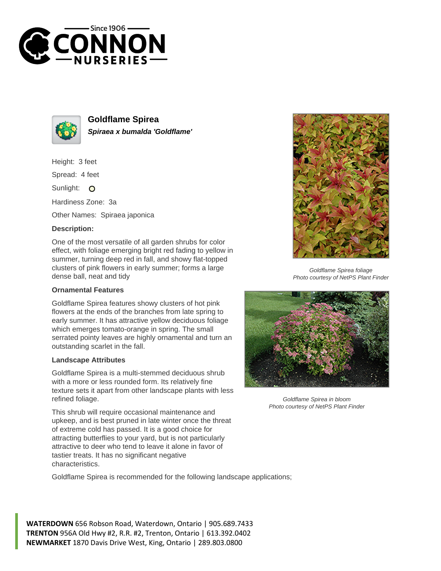



**Goldflame Spirea Spiraea x bumalda 'Goldflame'**

Height: 3 feet

Spread: 4 feet

Sunlight: O

Hardiness Zone: 3a

Other Names: Spiraea japonica

## **Description:**

One of the most versatile of all garden shrubs for color effect, with foliage emerging bright red fading to yellow in summer, turning deep red in fall, and showy flat-topped clusters of pink flowers in early summer; forms a large dense ball, neat and tidy

## **Ornamental Features**

Goldflame Spirea features showy clusters of hot pink flowers at the ends of the branches from late spring to early summer. It has attractive yellow deciduous foliage which emerges tomato-orange in spring. The small serrated pointy leaves are highly ornamental and turn an outstanding scarlet in the fall.

## **Landscape Attributes**

Goldflame Spirea is a multi-stemmed deciduous shrub with a more or less rounded form. Its relatively fine texture sets it apart from other landscape plants with less refined foliage.

This shrub will require occasional maintenance and upkeep, and is best pruned in late winter once the threat of extreme cold has passed. It is a good choice for attracting butterflies to your yard, but is not particularly attractive to deer who tend to leave it alone in favor of tastier treats. It has no significant negative characteristics.

Goldflame Spirea is recommended for the following landscape applications;

**WATERDOWN** 656 Robson Road, Waterdown, Ontario | 905.689.7433 **TRENTON** 956A Old Hwy #2, R.R. #2, Trenton, Ontario | 613.392.0402 **NEWMARKET** 1870 Davis Drive West, King, Ontario | 289.803.0800



Goldflame Spirea foliage Photo courtesy of NetPS Plant Finder



Goldflame Spirea in bloom Photo courtesy of NetPS Plant Finder